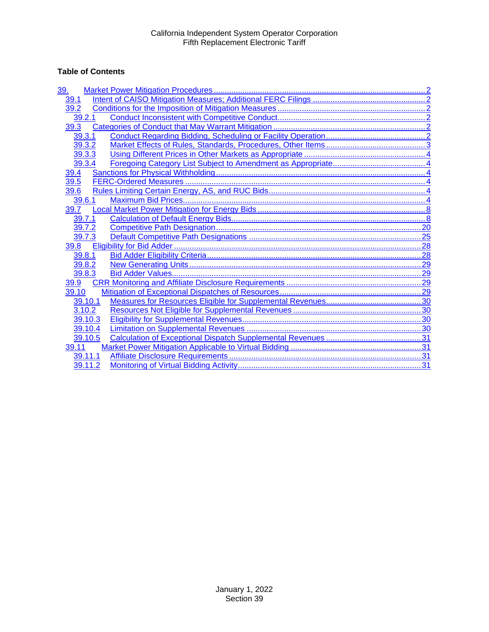# **Table of Contents**

| 39.     |  |
|---------|--|
| 39.1    |  |
| 39.2    |  |
| 39.2.1  |  |
| 39.3    |  |
| 39.3.1  |  |
| 39.3.2  |  |
| 39.3.3  |  |
| 39.3.4  |  |
| 39.4    |  |
| 39.5    |  |
| 39.6    |  |
| 39.6.1  |  |
| 39.7    |  |
| 39.7.1  |  |
| 39.7.2  |  |
| 39.7.3  |  |
| 39.8    |  |
| 39.8.1  |  |
| 39.8.2  |  |
| 39.8.3  |  |
| 39.9    |  |
| 39.10   |  |
| 39.10.1 |  |
| 3.10.2  |  |
| 39.10.3 |  |
| 39.10.4 |  |
| 39.10.5 |  |
| 39.11   |  |
| 39.11.1 |  |
| 39.11.2 |  |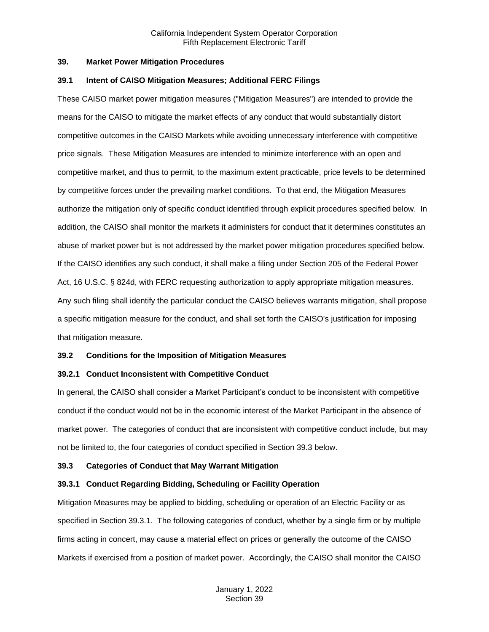#### <span id="page-1-0"></span>**39. Market Power Mitigation Procedures**

#### <span id="page-1-1"></span>**39.1 Intent of CAISO Mitigation Measures; Additional FERC Filings**

These CAISO market power mitigation measures ("Mitigation Measures") are intended to provide the means for the CAISO to mitigate the market effects of any conduct that would substantially distort competitive outcomes in the CAISO Markets while avoiding unnecessary interference with competitive price signals. These Mitigation Measures are intended to minimize interference with an open and competitive market, and thus to permit, to the maximum extent practicable, price levels to be determined by competitive forces under the prevailing market conditions. To that end, the Mitigation Measures authorize the mitigation only of specific conduct identified through explicit procedures specified below. In addition, the CAISO shall monitor the markets it administers for conduct that it determines constitutes an abuse of market power but is not addressed by the market power mitigation procedures specified below. If the CAISO identifies any such conduct, it shall make a filing under Section 205 of the Federal Power Act, 16 U.S.C. § 824d, with FERC requesting authorization to apply appropriate mitigation measures. Any such filing shall identify the particular conduct the CAISO believes warrants mitigation, shall propose a specific mitigation measure for the conduct, and shall set forth the CAISO's justification for imposing that mitigation measure.

## <span id="page-1-2"></span>**39.2 Conditions for the Imposition of Mitigation Measures**

## <span id="page-1-3"></span>**39.2.1 Conduct Inconsistent with Competitive Conduct**

In general, the CAISO shall consider a Market Participant's conduct to be inconsistent with competitive conduct if the conduct would not be in the economic interest of the Market Participant in the absence of market power. The categories of conduct that are inconsistent with competitive conduct include, but may not be limited to, the four categories of conduct specified in Section 39.3 below.

## <span id="page-1-4"></span>**39.3 Categories of Conduct that May Warrant Mitigation**

## <span id="page-1-5"></span>**39.3.1 Conduct Regarding Bidding, Scheduling or Facility Operation**

Mitigation Measures may be applied to bidding, scheduling or operation of an Electric Facility or as specified in Section 39.3.1. The following categories of conduct, whether by a single firm or by multiple firms acting in concert, may cause a material effect on prices or generally the outcome of the CAISO Markets if exercised from a position of market power. Accordingly, the CAISO shall monitor the CAISO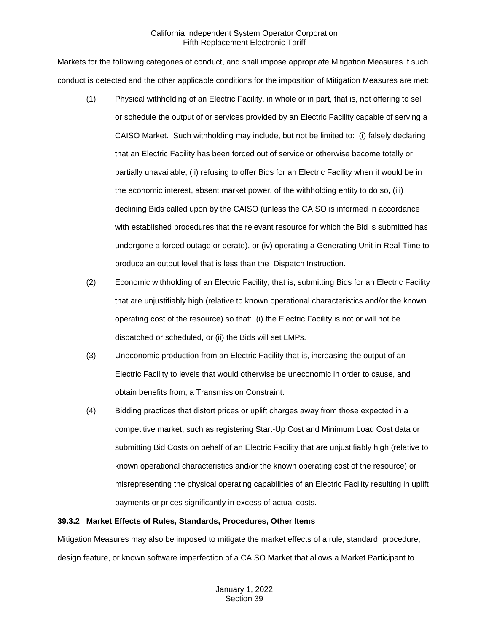Markets for the following categories of conduct, and shall impose appropriate Mitigation Measures if such conduct is detected and the other applicable conditions for the imposition of Mitigation Measures are met:

- (1) Physical withholding of an Electric Facility, in whole or in part, that is, not offering to sell or schedule the output of or services provided by an Electric Facility capable of serving a CAISO Market. Such withholding may include, but not be limited to: (i) falsely declaring that an Electric Facility has been forced out of service or otherwise become totally or partially unavailable, (ii) refusing to offer Bids for an Electric Facility when it would be in the economic interest, absent market power, of the withholding entity to do so, (iii) declining Bids called upon by the CAISO (unless the CAISO is informed in accordance with established procedures that the relevant resource for which the Bid is submitted has undergone a forced outage or derate), or (iv) operating a Generating Unit in Real-Time to produce an output level that is less than the Dispatch Instruction.
- (2) Economic withholding of an Electric Facility, that is, submitting Bids for an Electric Facility that are unjustifiably high (relative to known operational characteristics and/or the known operating cost of the resource) so that: (i) the Electric Facility is not or will not be dispatched or scheduled, or (ii) the Bids will set LMPs.
- (3) Uneconomic production from an Electric Facility that is, increasing the output of an Electric Facility to levels that would otherwise be uneconomic in order to cause, and obtain benefits from, a Transmission Constraint.
- (4) Bidding practices that distort prices or uplift charges away from those expected in a competitive market, such as registering Start-Up Cost and Minimum Load Cost data or submitting Bid Costs on behalf of an Electric Facility that are unjustifiably high (relative to known operational characteristics and/or the known operating cost of the resource) or misrepresenting the physical operating capabilities of an Electric Facility resulting in uplift payments or prices significantly in excess of actual costs.

## <span id="page-2-0"></span>**39.3.2 Market Effects of Rules, Standards, Procedures, Other Items**

Mitigation Measures may also be imposed to mitigate the market effects of a rule, standard, procedure, design feature, or known software imperfection of a CAISO Market that allows a Market Participant to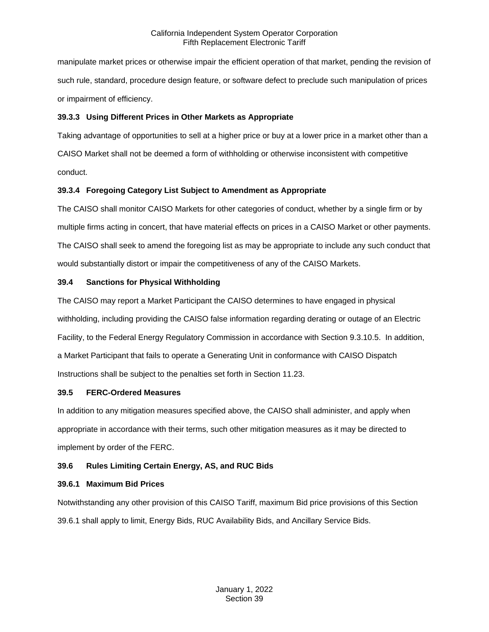manipulate market prices or otherwise impair the efficient operation of that market, pending the revision of such rule, standard, procedure design feature, or software defect to preclude such manipulation of prices or impairment of efficiency.

# <span id="page-3-0"></span>**39.3.3 Using Different Prices in Other Markets as Appropriate**

Taking advantage of opportunities to sell at a higher price or buy at a lower price in a market other than a CAISO Market shall not be deemed a form of withholding or otherwise inconsistent with competitive conduct.

# <span id="page-3-1"></span>**39.3.4 Foregoing Category List Subject to Amendment as Appropriate**

The CAISO shall monitor CAISO Markets for other categories of conduct, whether by a single firm or by multiple firms acting in concert, that have material effects on prices in a CAISO Market or other payments. The CAISO shall seek to amend the foregoing list as may be appropriate to include any such conduct that would substantially distort or impair the competitiveness of any of the CAISO Markets.

# <span id="page-3-2"></span>**39.4 Sanctions for Physical Withholding**

The CAISO may report a Market Participant the CAISO determines to have engaged in physical withholding, including providing the CAISO false information regarding derating or outage of an Electric Facility, to the Federal Energy Regulatory Commission in accordance with Section 9.3.10.5. In addition, a Market Participant that fails to operate a Generating Unit in conformance with CAISO Dispatch Instructions shall be subject to the penalties set forth in Section 11.23.

## <span id="page-3-3"></span>**39.5 FERC-Ordered Measures**

In addition to any mitigation measures specified above, the CAISO shall administer, and apply when appropriate in accordance with their terms, such other mitigation measures as it may be directed to implement by order of the FERC.

# <span id="page-3-4"></span>**39.6 Rules Limiting Certain Energy, AS, and RUC Bids**

## <span id="page-3-5"></span>**39.6.1 Maximum Bid Prices**

Notwithstanding any other provision of this CAISO Tariff, maximum Bid price provisions of this Section 39.6.1 shall apply to limit, Energy Bids, RUC Availability Bids, and Ancillary Service Bids.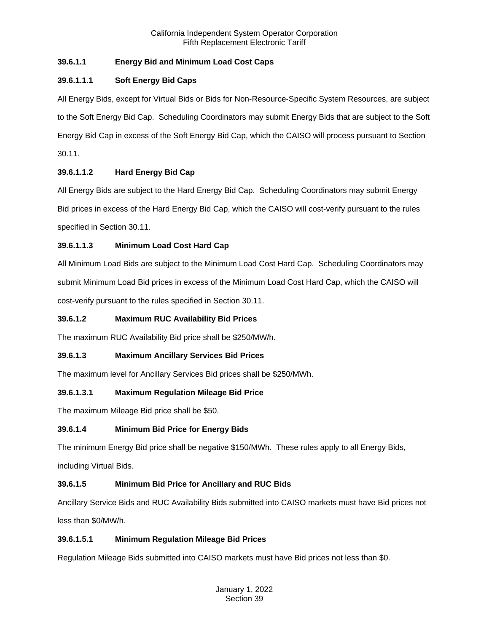# **39.6.1.1 Energy Bid and Minimum Load Cost Caps**

# **39.6.1.1.1 Soft Energy Bid Caps**

All Energy Bids, except for Virtual Bids or Bids for Non-Resource-Specific System Resources, are subject to the Soft Energy Bid Cap. Scheduling Coordinators may submit Energy Bids that are subject to the Soft Energy Bid Cap in excess of the Soft Energy Bid Cap, which the CAISO will process pursuant to Section 30.11.

# **39.6.1.1.2 Hard Energy Bid Cap**

All Energy Bids are subject to the Hard Energy Bid Cap. Scheduling Coordinators may submit Energy Bid prices in excess of the Hard Energy Bid Cap, which the CAISO will cost-verify pursuant to the rules specified in Section 30.11.

# **39.6.1.1.3 Minimum Load Cost Hard Cap**

All Minimum Load Bids are subject to the Minimum Load Cost Hard Cap. Scheduling Coordinators may submit Minimum Load Bid prices in excess of the Minimum Load Cost Hard Cap, which the CAISO will cost-verify pursuant to the rules specified in Section 30.11.

# **39.6.1.2 Maximum RUC Availability Bid Prices**

The maximum RUC Availability Bid price shall be \$250/MW/h.

# **39.6.1.3 Maximum Ancillary Services Bid Prices**

The maximum level for Ancillary Services Bid prices shall be \$250/MWh.

# **39.6.1.3.1 Maximum Regulation Mileage Bid Price**

The maximum Mileage Bid price shall be \$50.

# **39.6.1.4 Minimum Bid Price for Energy Bids**

The minimum Energy Bid price shall be negative \$150/MWh. These rules apply to all Energy Bids,

including Virtual Bids.

# **39.6.1.5 Minimum Bid Price for Ancillary and RUC Bids**

Ancillary Service Bids and RUC Availability Bids submitted into CAISO markets must have Bid prices not less than \$0/MW/h.

# **39.6.1.5.1 Minimum Regulation Mileage Bid Prices**

Regulation Mileage Bids submitted into CAISO markets must have Bid prices not less than \$0.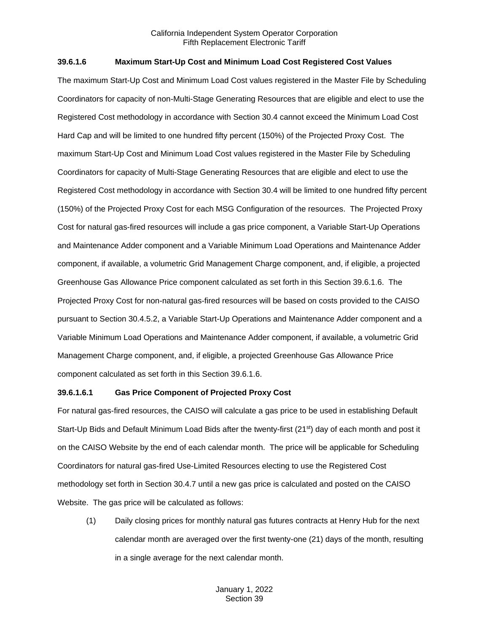## **39.6.1.6 Maximum Start-Up Cost and Minimum Load Cost Registered Cost Values**

The maximum Start-Up Cost and Minimum Load Cost values registered in the Master File by Scheduling Coordinators for capacity of non-Multi-Stage Generating Resources that are eligible and elect to use the Registered Cost methodology in accordance with Section 30.4 cannot exceed the Minimum Load Cost Hard Cap and will be limited to one hundred fifty percent (150%) of the Projected Proxy Cost. The maximum Start-Up Cost and Minimum Load Cost values registered in the Master File by Scheduling Coordinators for capacity of Multi-Stage Generating Resources that are eligible and elect to use the Registered Cost methodology in accordance with Section 30.4 will be limited to one hundred fifty percent (150%) of the Projected Proxy Cost for each MSG Configuration of the resources. The Projected Proxy Cost for natural gas-fired resources will include a gas price component, a Variable Start-Up Operations and Maintenance Adder component and a Variable Minimum Load Operations and Maintenance Adder component, if available, a volumetric Grid Management Charge component, and, if eligible, a projected Greenhouse Gas Allowance Price component calculated as set forth in this Section 39.6.1.6. The Projected Proxy Cost for non-natural gas-fired resources will be based on costs provided to the CAISO pursuant to Section 30.4.5.2, a Variable Start-Up Operations and Maintenance Adder component and a Variable Minimum Load Operations and Maintenance Adder component, if available, a volumetric Grid Management Charge component, and, if eligible, a projected Greenhouse Gas Allowance Price component calculated as set forth in this Section 39.6.1.6.

#### **39.6.1.6.1 Gas Price Component of Projected Proxy Cost**

For natural gas-fired resources, the CAISO will calculate a gas price to be used in establishing Default Start-Up Bids and Default Minimum Load Bids after the twenty-first (21<sup>st</sup>) day of each month and post it on the CAISO Website by the end of each calendar month. The price will be applicable for Scheduling Coordinators for natural gas-fired Use-Limited Resources electing to use the Registered Cost methodology set forth in Section 30.4.7 until a new gas price is calculated and posted on the CAISO Website. The gas price will be calculated as follows:

(1) Daily closing prices for monthly natural gas futures contracts at Henry Hub for the next calendar month are averaged over the first twenty-one (21) days of the month, resulting in a single average for the next calendar month.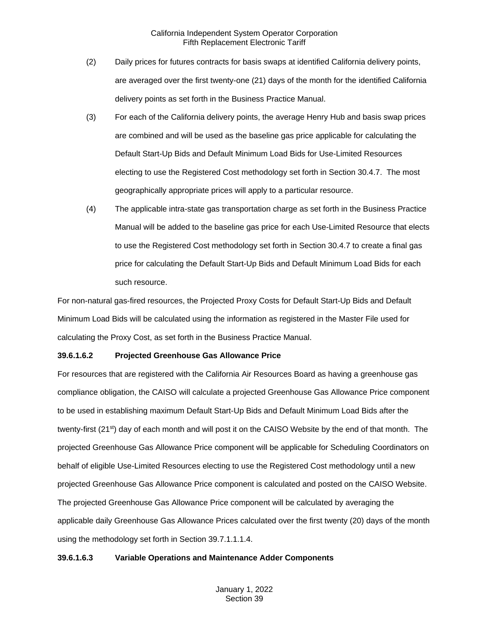- (2) Daily prices for futures contracts for basis swaps at identified California delivery points, are averaged over the first twenty-one (21) days of the month for the identified California delivery points as set forth in the Business Practice Manual.
- (3) For each of the California delivery points, the average Henry Hub and basis swap prices are combined and will be used as the baseline gas price applicable for calculating the Default Start-Up Bids and Default Minimum Load Bids for Use-Limited Resources electing to use the Registered Cost methodology set forth in Section 30.4.7. The most geographically appropriate prices will apply to a particular resource.
- (4) The applicable intra-state gas transportation charge as set forth in the Business Practice Manual will be added to the baseline gas price for each Use-Limited Resource that elects to use the Registered Cost methodology set forth in Section 30.4.7 to create a final gas price for calculating the Default Start-Up Bids and Default Minimum Load Bids for each such resource.

For non-natural gas-fired resources, the Projected Proxy Costs for Default Start-Up Bids and Default Minimum Load Bids will be calculated using the information as registered in the Master File used for calculating the Proxy Cost, as set forth in the Business Practice Manual.

#### **39.6.1.6.2 Projected Greenhouse Gas Allowance Price**

For resources that are registered with the California Air Resources Board as having a greenhouse gas compliance obligation, the CAISO will calculate a projected Greenhouse Gas Allowance Price component to be used in establishing maximum Default Start-Up Bids and Default Minimum Load Bids after the twenty-first (21<sup>st</sup>) day of each month and will post it on the CAISO Website by the end of that month. The projected Greenhouse Gas Allowance Price component will be applicable for Scheduling Coordinators on behalf of eligible Use-Limited Resources electing to use the Registered Cost methodology until a new projected Greenhouse Gas Allowance Price component is calculated and posted on the CAISO Website. The projected Greenhouse Gas Allowance Price component will be calculated by averaging the applicable daily Greenhouse Gas Allowance Prices calculated over the first twenty (20) days of the month using the methodology set forth in Section 39.7.1.1.1.4.

#### **39.6.1.6.3 Variable Operations and Maintenance Adder Components**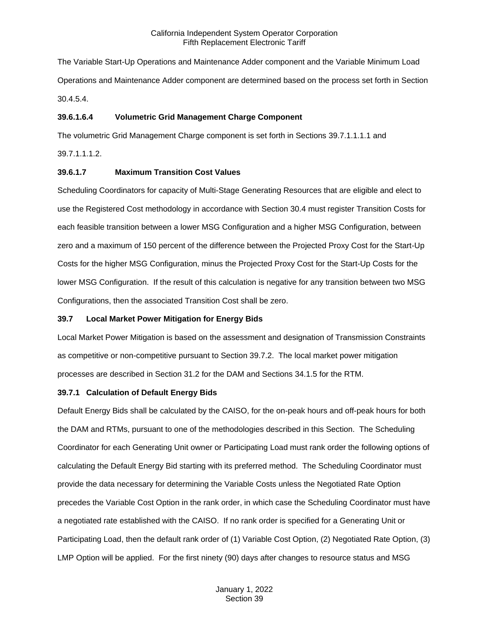The Variable Start-Up Operations and Maintenance Adder component and the Variable Minimum Load Operations and Maintenance Adder component are determined based on the process set forth in Section 30.4.5.4.

#### **39.6.1.6.4 Volumetric Grid Management Charge Component**

The volumetric Grid Management Charge component is set forth in Sections 39.7.1.1.1.1 and

39.7.1.1.1.2.

#### **39.6.1.7 Maximum Transition Cost Values**

Scheduling Coordinators for capacity of Multi-Stage Generating Resources that are eligible and elect to use the Registered Cost methodology in accordance with Section 30.4 must register Transition Costs for each feasible transition between a lower MSG Configuration and a higher MSG Configuration, between zero and a maximum of 150 percent of the difference between the Projected Proxy Cost for the Start-Up Costs for the higher MSG Configuration, minus the Projected Proxy Cost for the Start-Up Costs for the lower MSG Configuration. If the result of this calculation is negative for any transition between two MSG Configurations, then the associated Transition Cost shall be zero.

#### <span id="page-7-0"></span>**39.7 Local Market Power Mitigation for Energy Bids**

Local Market Power Mitigation is based on the assessment and designation of Transmission Constraints as competitive or non-competitive pursuant to Section 39.7.2. The local market power mitigation processes are described in Section 31.2 for the DAM and Sections 34.1.5 for the RTM.

#### <span id="page-7-1"></span>**39.7.1 Calculation of Default Energy Bids**

Default Energy Bids shall be calculated by the CAISO, for the on-peak hours and off-peak hours for both the DAM and RTMs, pursuant to one of the methodologies described in this Section. The Scheduling Coordinator for each Generating Unit owner or Participating Load must rank order the following options of calculating the Default Energy Bid starting with its preferred method. The Scheduling Coordinator must provide the data necessary for determining the Variable Costs unless the Negotiated Rate Option precedes the Variable Cost Option in the rank order, in which case the Scheduling Coordinator must have a negotiated rate established with the CAISO. If no rank order is specified for a Generating Unit or Participating Load, then the default rank order of (1) Variable Cost Option, (2) Negotiated Rate Option, (3) LMP Option will be applied. For the first ninety (90) days after changes to resource status and MSG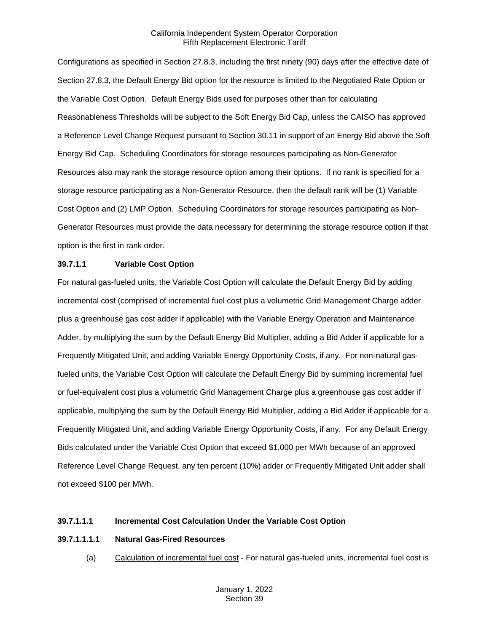Configurations as specified in Section 27.8.3, including the first ninety (90) days after the effective date of Section 27.8.3, the Default Energy Bid option for the resource is limited to the Negotiated Rate Option or the Variable Cost Option. Default Energy Bids used for purposes other than for calculating Reasonableness Thresholds will be subject to the Soft Energy Bid Cap, unless the CAISO has approved a Reference Level Change Request pursuant to Section 30.11 in support of an Energy Bid above the Soft Energy Bid Cap. Scheduling Coordinators for storage resources participating as Non-Generator Resources also may rank the storage resource option among their options. If no rank is specified for a storage resource participating as a Non-Generator Resource, then the default rank will be (1) Variable Cost Option and (2) LMP Option. Scheduling Coordinators for storage resources participating as Non-Generator Resources must provide the data necessary for determining the storage resource option if that option is the first in rank order.

#### **39.7.1.1 Variable Cost Option**

For natural gas-fueled units, the Variable Cost Option will calculate the Default Energy Bid by adding incremental cost (comprised of incremental fuel cost plus a volumetric Grid Management Charge adder plus a greenhouse gas cost adder if applicable) with the Variable Energy Operation and Maintenance Adder, by multiplying the sum by the Default Energy Bid Multiplier, adding a Bid Adder if applicable for a Frequently Mitigated Unit, and adding Variable Energy Opportunity Costs, if any. For non-natural gasfueled units, the Variable Cost Option will calculate the Default Energy Bid by summing incremental fuel or fuel-equivalent cost plus a volumetric Grid Management Charge plus a greenhouse gas cost adder if applicable, multiplying the sum by the Default Energy Bid Multiplier, adding a Bid Adder if applicable for a Frequently Mitigated Unit, and adding Variable Energy Opportunity Costs, if any. For any Default Energy Bids calculated under the Variable Cost Option that exceed \$1,000 per MWh because of an approved Reference Level Change Request, any ten percent (10%) adder or Frequently Mitigated Unit adder shall not exceed \$100 per MWh.

#### **39.7.1.1.1 Incremental Cost Calculation Under the Variable Cost Option**

#### **39.7.1.1.1.1 Natural Gas-Fired Resources**

(a) Calculation of incremental fuel cost - For natural gas-fueled units, incremental fuel cost is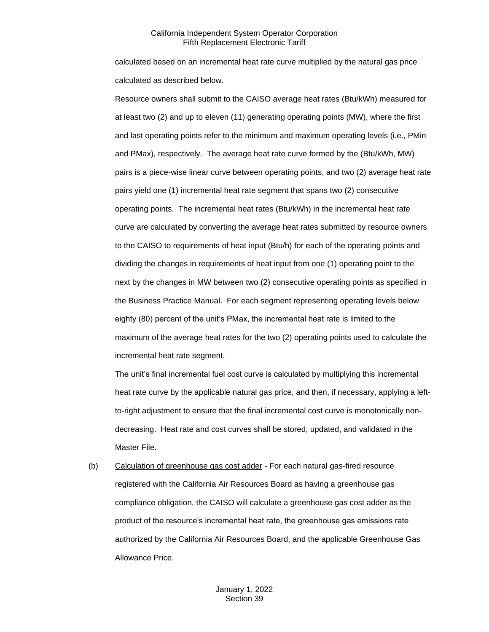calculated based on an incremental heat rate curve multiplied by the natural gas price calculated as described below.

Resource owners shall submit to the CAISO average heat rates (Btu/kWh) measured for at least two (2) and up to eleven (11) generating operating points (MW), where the first and last operating points refer to the minimum and maximum operating levels (i.e., PMin and PMax), respectively. The average heat rate curve formed by the (Btu/kWh, MW) pairs is a piece-wise linear curve between operating points, and two (2) average heat rate pairs yield one (1) incremental heat rate segment that spans two (2) consecutive operating points. The incremental heat rates (Btu/kWh) in the incremental heat rate curve are calculated by converting the average heat rates submitted by resource owners to the CAISO to requirements of heat input (Btu/h) for each of the operating points and dividing the changes in requirements of heat input from one (1) operating point to the next by the changes in MW between two (2) consecutive operating points as specified in the Business Practice Manual. For each segment representing operating levels below eighty (80) percent of the unit's PMax, the incremental heat rate is limited to the maximum of the average heat rates for the two (2) operating points used to calculate the incremental heat rate segment.

The unit's final incremental fuel cost curve is calculated by multiplying this incremental heat rate curve by the applicable natural gas price, and then, if necessary, applying a leftto-right adjustment to ensure that the final incremental cost curve is monotonically nondecreasing. Heat rate and cost curves shall be stored, updated, and validated in the Master File.

(b) Calculation of greenhouse gas cost adder - For each natural gas-fired resource registered with the California Air Resources Board as having a greenhouse gas compliance obligation, the CAISO will calculate a greenhouse gas cost adder as the product of the resource's incremental heat rate, the greenhouse gas emissions rate authorized by the California Air Resources Board, and the applicable Greenhouse Gas Allowance Price.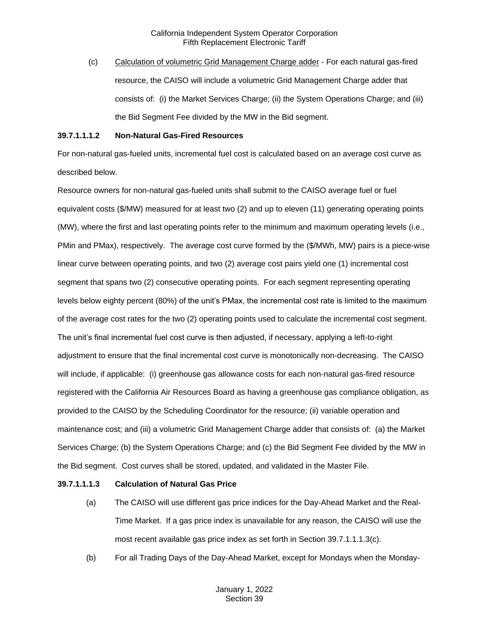(c) Calculation of volumetric Grid Management Charge adder - For each natural gas-fired resource, the CAISO will include a volumetric Grid Management Charge adder that consists of: (i) the Market Services Charge; (ii) the System Operations Charge; and (iii) the Bid Segment Fee divided by the MW in the Bid segment.

#### **39.7.1.1.1.2 Non-Natural Gas-Fired Resources**

For non-natural gas-fueled units, incremental fuel cost is calculated based on an average cost curve as described below.

Resource owners for non-natural gas-fueled units shall submit to the CAISO average fuel or fuel equivalent costs (\$/MW) measured for at least two (2) and up to eleven (11) generating operating points (MW), where the first and last operating points refer to the minimum and maximum operating levels (i.e., PMin and PMax), respectively. The average cost curve formed by the (\$/MWh, MW) pairs is a piece-wise linear curve between operating points, and two (2) average cost pairs yield one (1) incremental cost segment that spans two (2) consecutive operating points. For each segment representing operating levels below eighty percent (80%) of the unit's PMax, the incremental cost rate is limited to the maximum of the average cost rates for the two (2) operating points used to calculate the incremental cost segment. The unit's final incremental fuel cost curve is then adjusted, if necessary, applying a left-to-right adjustment to ensure that the final incremental cost curve is monotonically non-decreasing. The CAISO will include, if applicable: (i) greenhouse gas allowance costs for each non-natural gas-fired resource registered with the California Air Resources Board as having a greenhouse gas compliance obligation, as provided to the CAISO by the Scheduling Coordinator for the resource; (ii) variable operation and maintenance cost; and (iii) a volumetric Grid Management Charge adder that consists of: (a) the Market Services Charge; (b) the System Operations Charge; and (c) the Bid Segment Fee divided by the MW in the Bid segment. Cost curves shall be stored, updated, and validated in the Master File.

## **39.7.1.1.1.3 Calculation of Natural Gas Price**

- (a) The CAISO will use different gas price indices for the Day-Ahead Market and the Real-Time Market. If a gas price index is unavailable for any reason, the CAISO will use the most recent available gas price index as set forth in Section 39.7.1.1.1.3(c).
- (b) For all Trading Days of the Day-Ahead Market, except for Mondays when the Monday-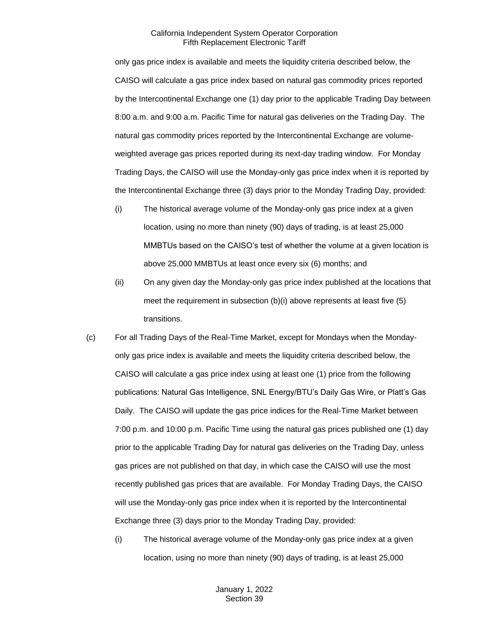only gas price index is available and meets the liquidity criteria described below, the CAISO will calculate a gas price index based on natural gas commodity prices reported by the Intercontinental Exchange one (1) day prior to the applicable Trading Day between 8:00 a.m. and 9:00 a.m. Pacific Time for natural gas deliveries on the Trading Day. The natural gas commodity prices reported by the Intercontinental Exchange are volumeweighted average gas prices reported during its next-day trading window. For Monday Trading Days, the CAISO will use the Monday-only gas price index when it is reported by the Intercontinental Exchange three (3) days prior to the Monday Trading Day, provided:

- (i) The historical average volume of the Monday-only gas price index at a given location, using no more than ninety (90) days of trading, is at least 25,000 MMBTUs based on the CAISO's test of whether the volume at a given location is above 25,000 MMBTUs at least once every six (6) months; and
- (ii) On any given day the Monday-only gas price index published at the locations that meet the requirement in subsection (b)(i) above represents at least five (5) transitions.
- (c) For all Trading Days of the Real-Time Market, except for Mondays when the Mondayonly gas price index is available and meets the liquidity criteria described below, the CAISO will calculate a gas price index using at least one (1) price from the following publications: Natural Gas Intelligence, SNL Energy/BTU's Daily Gas Wire, or Platt's Gas Daily. The CAISO will update the gas price indices for the Real-Time Market between 7:00 p.m. and 10:00 p.m. Pacific Time using the natural gas prices published one (1) day prior to the applicable Trading Day for natural gas deliveries on the Trading Day, unless gas prices are not published on that day, in which case the CAISO will use the most recently published gas prices that are available. For Monday Trading Days, the CAISO will use the Monday-only gas price index when it is reported by the Intercontinental Exchange three (3) days prior to the Monday Trading Day, provided:
	- (i) The historical average volume of the Monday-only gas price index at a given location, using no more than ninety (90) days of trading, is at least 25,000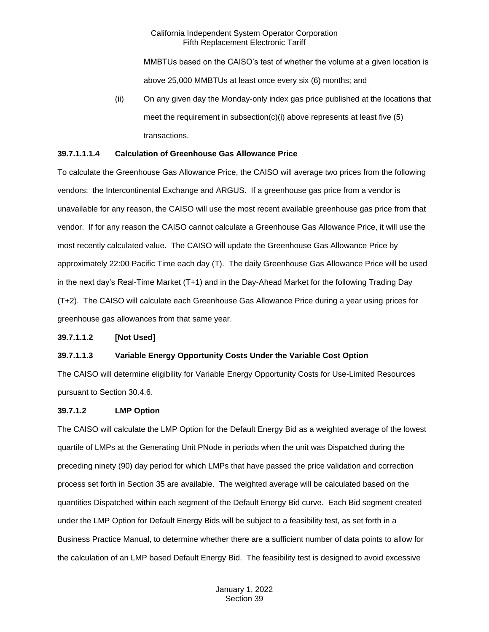MMBTUs based on the CAISO's test of whether the volume at a given location is above 25,000 MMBTUs at least once every six (6) months; and

(ii) On any given day the Monday-only index gas price published at the locations that meet the requirement in subsection(c)(i) above represents at least five (5) transactions.

#### **39.7.1.1.1.4 Calculation of Greenhouse Gas Allowance Price**

To calculate the Greenhouse Gas Allowance Price, the CAISO will average two prices from the following vendors: the Intercontinental Exchange and ARGUS. If a greenhouse gas price from a vendor is unavailable for any reason, the CAISO will use the most recent available greenhouse gas price from that vendor. If for any reason the CAISO cannot calculate a Greenhouse Gas Allowance Price, it will use the most recently calculated value. The CAISO will update the Greenhouse Gas Allowance Price by approximately 22:00 Pacific Time each day (T). The daily Greenhouse Gas Allowance Price will be used in the next day's Real-Time Market (T+1) and in the Day-Ahead Market for the following Trading Day (T+2). The CAISO will calculate each Greenhouse Gas Allowance Price during a year using prices for greenhouse gas allowances from that same year.

#### **39.7.1.1.2 [Not Used]**

## **39.7.1.1.3 Variable Energy Opportunity Costs Under the Variable Cost Option**

The CAISO will determine eligibility for Variable Energy Opportunity Costs for Use-Limited Resources pursuant to Section 30.4.6.

#### **39.7.1.2 LMP Option**

The CAISO will calculate the LMP Option for the Default Energy Bid as a weighted average of the lowest quartile of LMPs at the Generating Unit PNode in periods when the unit was Dispatched during the preceding ninety (90) day period for which LMPs that have passed the price validation and correction process set forth in Section 35 are available. The weighted average will be calculated based on the quantities Dispatched within each segment of the Default Energy Bid curve. Each Bid segment created under the LMP Option for Default Energy Bids will be subject to a feasibility test, as set forth in a Business Practice Manual, to determine whether there are a sufficient number of data points to allow for the calculation of an LMP based Default Energy Bid. The feasibility test is designed to avoid excessive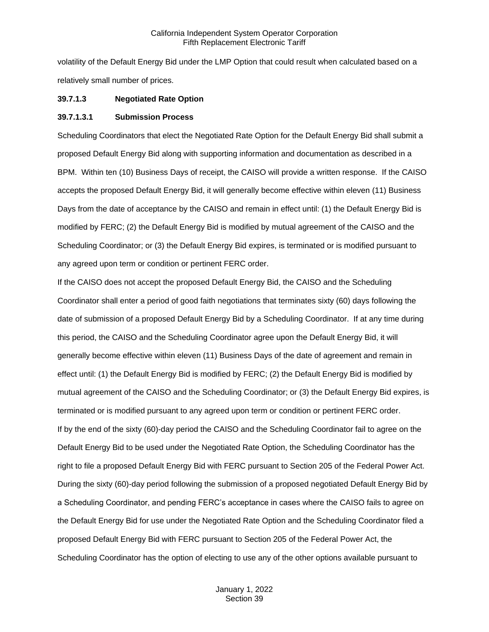volatility of the Default Energy Bid under the LMP Option that could result when calculated based on a relatively small number of prices.

#### **39.7.1.3 Negotiated Rate Option**

#### **39.7.1.3.1 Submission Process**

Scheduling Coordinators that elect the Negotiated Rate Option for the Default Energy Bid shall submit a proposed Default Energy Bid along with supporting information and documentation as described in a BPM. Within ten (10) Business Days of receipt, the CAISO will provide a written response. If the CAISO accepts the proposed Default Energy Bid, it will generally become effective within eleven (11) Business Days from the date of acceptance by the CAISO and remain in effect until: (1) the Default Energy Bid is modified by FERC; (2) the Default Energy Bid is modified by mutual agreement of the CAISO and the Scheduling Coordinator; or (3) the Default Energy Bid expires, is terminated or is modified pursuant to any agreed upon term or condition or pertinent FERC order.

If the CAISO does not accept the proposed Default Energy Bid, the CAISO and the Scheduling Coordinator shall enter a period of good faith negotiations that terminates sixty (60) days following the date of submission of a proposed Default Energy Bid by a Scheduling Coordinator. If at any time during this period, the CAISO and the Scheduling Coordinator agree upon the Default Energy Bid, it will generally become effective within eleven (11) Business Days of the date of agreement and remain in effect until: (1) the Default Energy Bid is modified by FERC; (2) the Default Energy Bid is modified by mutual agreement of the CAISO and the Scheduling Coordinator; or (3) the Default Energy Bid expires, is terminated or is modified pursuant to any agreed upon term or condition or pertinent FERC order. If by the end of the sixty (60)-day period the CAISO and the Scheduling Coordinator fail to agree on the Default Energy Bid to be used under the Negotiated Rate Option, the Scheduling Coordinator has the right to file a proposed Default Energy Bid with FERC pursuant to Section 205 of the Federal Power Act. During the sixty (60)-day period following the submission of a proposed negotiated Default Energy Bid by a Scheduling Coordinator, and pending FERC's acceptance in cases where the CAISO fails to agree on the Default Energy Bid for use under the Negotiated Rate Option and the Scheduling Coordinator filed a proposed Default Energy Bid with FERC pursuant to Section 205 of the Federal Power Act, the Scheduling Coordinator has the option of electing to use any of the other options available pursuant to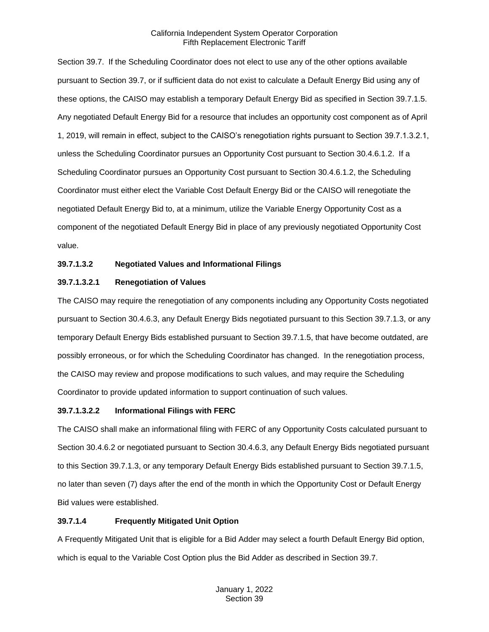Section 39.7. If the Scheduling Coordinator does not elect to use any of the other options available pursuant to Section 39.7, or if sufficient data do not exist to calculate a Default Energy Bid using any of these options, the CAISO may establish a temporary Default Energy Bid as specified in Section 39.7.1.5. Any negotiated Default Energy Bid for a resource that includes an opportunity cost component as of April 1, 2019, will remain in effect, subject to the CAISO's renegotiation rights pursuant to Section 39.7.1.3.2.1, unless the Scheduling Coordinator pursues an Opportunity Cost pursuant to Section 30.4.6.1.2. If a Scheduling Coordinator pursues an Opportunity Cost pursuant to Section 30.4.6.1.2, the Scheduling Coordinator must either elect the Variable Cost Default Energy Bid or the CAISO will renegotiate the negotiated Default Energy Bid to, at a minimum, utilize the Variable Energy Opportunity Cost as a component of the negotiated Default Energy Bid in place of any previously negotiated Opportunity Cost value.

# **39.7.1.3.2 Negotiated Values and Informational Filings**

# **39.7.1.3.2.1 Renegotiation of Values**

The CAISO may require the renegotiation of any components including any Opportunity Costs negotiated pursuant to Section 30.4.6.3, any Default Energy Bids negotiated pursuant to this Section 39.7.1.3, or any temporary Default Energy Bids established pursuant to Section 39.7.1.5, that have become outdated, are possibly erroneous, or for which the Scheduling Coordinator has changed. In the renegotiation process, the CAISO may review and propose modifications to such values, and may require the Scheduling Coordinator to provide updated information to support continuation of such values.

## **39.7.1.3.2.2 Informational Filings with FERC**

The CAISO shall make an informational filing with FERC of any Opportunity Costs calculated pursuant to Section 30.4.6.2 or negotiated pursuant to Section 30.4.6.3, any Default Energy Bids negotiated pursuant to this Section 39.7.1.3, or any temporary Default Energy Bids established pursuant to Section 39.7.1.5, no later than seven (7) days after the end of the month in which the Opportunity Cost or Default Energy Bid values were established.

## **39.7.1.4 Frequently Mitigated Unit Option**

A Frequently Mitigated Unit that is eligible for a Bid Adder may select a fourth Default Energy Bid option, which is equal to the Variable Cost Option plus the Bid Adder as described in Section 39.7.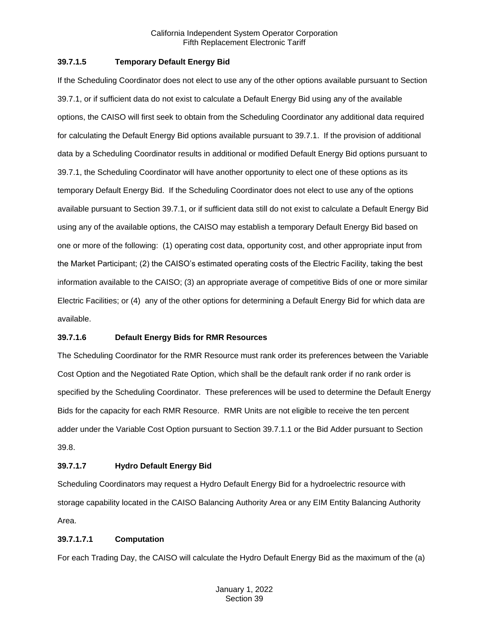## **39.7.1.5 Temporary Default Energy Bid**

If the Scheduling Coordinator does not elect to use any of the other options available pursuant to Section 39.7.1, or if sufficient data do not exist to calculate a Default Energy Bid using any of the available options, the CAISO will first seek to obtain from the Scheduling Coordinator any additional data required for calculating the Default Energy Bid options available pursuant to 39.7.1. If the provision of additional data by a Scheduling Coordinator results in additional or modified Default Energy Bid options pursuant to 39.7.1, the Scheduling Coordinator will have another opportunity to elect one of these options as its temporary Default Energy Bid. If the Scheduling Coordinator does not elect to use any of the options available pursuant to Section 39.7.1, or if sufficient data still do not exist to calculate a Default Energy Bid using any of the available options, the CAISO may establish a temporary Default Energy Bid based on one or more of the following: (1) operating cost data, opportunity cost, and other appropriate input from the Market Participant; (2) the CAISO's estimated operating costs of the Electric Facility, taking the best information available to the CAISO; (3) an appropriate average of competitive Bids of one or more similar Electric Facilities; or (4) any of the other options for determining a Default Energy Bid for which data are available.

#### **39.7.1.6 Default Energy Bids for RMR Resources**

The Scheduling Coordinator for the RMR Resource must rank order its preferences between the Variable Cost Option and the Negotiated Rate Option, which shall be the default rank order if no rank order is specified by the Scheduling Coordinator. These preferences will be used to determine the Default Energy Bids for the capacity for each RMR Resource. RMR Units are not eligible to receive the ten percent adder under the Variable Cost Option pursuant to Section 39.7.1.1 or the Bid Adder pursuant to Section 39.8.

## **39.7.1.7 Hydro Default Energy Bid**

Scheduling Coordinators may request a Hydro Default Energy Bid for a hydroelectric resource with storage capability located in the CAISO Balancing Authority Area or any EIM Entity Balancing Authority Area.

#### **39.7.1.7.1 Computation**

For each Trading Day, the CAISO will calculate the Hydro Default Energy Bid as the maximum of the (a)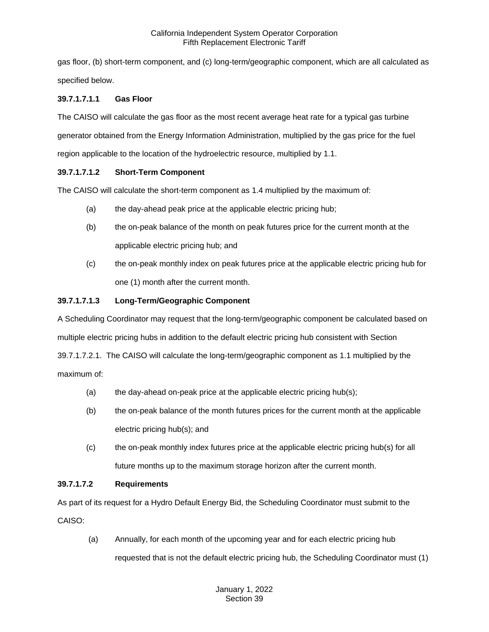gas floor, (b) short-term component, and (c) long-term/geographic component, which are all calculated as specified below.

# **39.7.1.7.1.1 Gas Floor**

The CAISO will calculate the gas floor as the most recent average heat rate for a typical gas turbine generator obtained from the Energy Information Administration, multiplied by the gas price for the fuel region applicable to the location of the hydroelectric resource, multiplied by 1.1.

# **39.7.1.7.1.2 Short-Term Component**

The CAISO will calculate the short-term component as 1.4 multiplied by the maximum of:

- (a) the day-ahead peak price at the applicable electric pricing hub;
- (b) the on-peak balance of the month on peak futures price for the current month at the applicable electric pricing hub; and
- (c) the on-peak monthly index on peak futures price at the applicable electric pricing hub for one (1) month after the current month.

# **39.7.1.7.1.3 Long-Term/Geographic Component**

A Scheduling Coordinator may request that the long-term/geographic component be calculated based on multiple electric pricing hubs in addition to the default electric pricing hub consistent with Section 39.7.1.7.2.1. The CAISO will calculate the long-term/geographic component as 1.1 multiplied by the maximum of:

- (a) the day-ahead on-peak price at the applicable electric pricing hub(s);
- (b) the on-peak balance of the month futures prices for the current month at the applicable electric pricing hub(s); and
- (c) the on-peak monthly index futures price at the applicable electric pricing hub(s) for all future months up to the maximum storage horizon after the current month.

## **39.7.1.7.2 Requirements**

As part of its request for a Hydro Default Energy Bid, the Scheduling Coordinator must submit to the CAISO:

(a) Annually, for each month of the upcoming year and for each electric pricing hub requested that is not the default electric pricing hub, the Scheduling Coordinator must (1)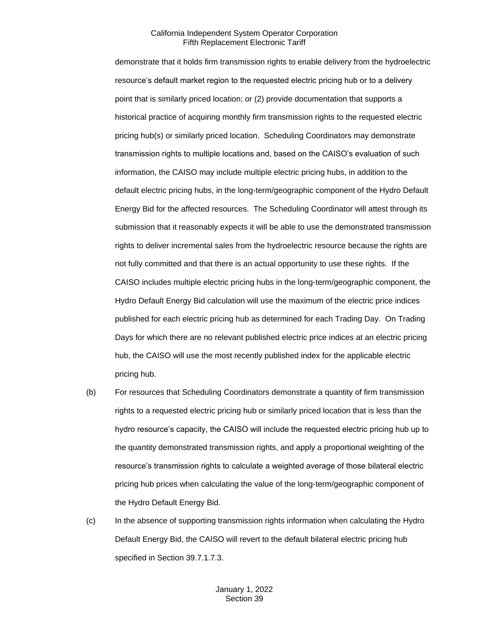demonstrate that it holds firm transmission rights to enable delivery from the hydroelectric resource's default market region to the requested electric pricing hub or to a delivery point that is similarly priced location; or (2) provide documentation that supports a historical practice of acquiring monthly firm transmission rights to the requested electric pricing hub(s) or similarly priced location. Scheduling Coordinators may demonstrate transmission rights to multiple locations and, based on the CAISO's evaluation of such information, the CAISO may include multiple electric pricing hubs, in addition to the default electric pricing hubs, in the long-term/geographic component of the Hydro Default Energy Bid for the affected resources. The Scheduling Coordinator will attest through its submission that it reasonably expects it will be able to use the demonstrated transmission rights to deliver incremental sales from the hydroelectric resource because the rights are not fully committed and that there is an actual opportunity to use these rights. If the CAISO includes multiple electric pricing hubs in the long-term/geographic component, the Hydro Default Energy Bid calculation will use the maximum of the electric price indices published for each electric pricing hub as determined for each Trading Day. On Trading Days for which there are no relevant published electric price indices at an electric pricing hub, the CAISO will use the most recently published index for the applicable electric pricing hub.

- (b) For resources that Scheduling Coordinators demonstrate a quantity of firm transmission rights to a requested electric pricing hub or similarly priced location that is less than the hydro resource's capacity, the CAISO will include the requested electric pricing hub up to the quantity demonstrated transmission rights, and apply a proportional weighting of the resource's transmission rights to calculate a weighted average of those bilateral electric pricing hub prices when calculating the value of the long-term/geographic component of the Hydro Default Energy Bid.
- (c) In the absence of supporting transmission rights information when calculating the Hydro Default Energy Bid, the CAISO will revert to the default bilateral electric pricing hub specified in Section 39.7.1.7.3.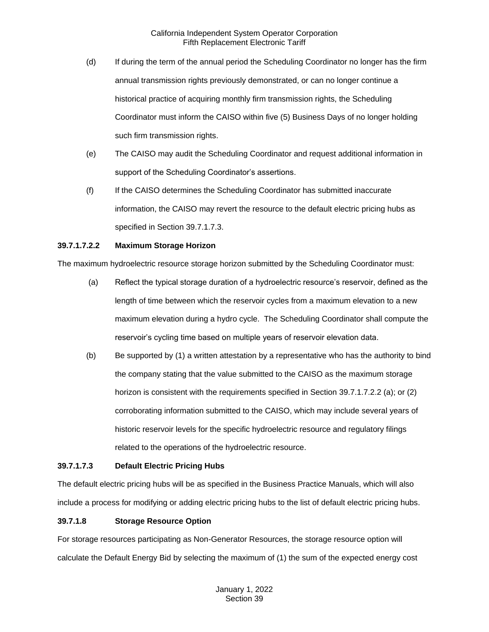- (d) If during the term of the annual period the Scheduling Coordinator no longer has the firm annual transmission rights previously demonstrated, or can no longer continue a historical practice of acquiring monthly firm transmission rights, the Scheduling Coordinator must inform the CAISO within five (5) Business Days of no longer holding such firm transmission rights.
- (e) The CAISO may audit the Scheduling Coordinator and request additional information in support of the Scheduling Coordinator's assertions.
- (f) If the CAISO determines the Scheduling Coordinator has submitted inaccurate information, the CAISO may revert the resource to the default electric pricing hubs as specified in Section 39.7.1.7.3.

## **39.7.1.7.2.2 Maximum Storage Horizon**

The maximum hydroelectric resource storage horizon submitted by the Scheduling Coordinator must:

- (a) Reflect the typical storage duration of a hydroelectric resource's reservoir, defined as the length of time between which the reservoir cycles from a maximum elevation to a new maximum elevation during a hydro cycle. The Scheduling Coordinator shall compute the reservoir's cycling time based on multiple years of reservoir elevation data.
- (b) Be supported by (1) a written attestation by a representative who has the authority to bind the company stating that the value submitted to the CAISO as the maximum storage horizon is consistent with the requirements specified in Section 39.7.1.7.2.2 (a); or (2) corroborating information submitted to the CAISO, which may include several years of historic reservoir levels for the specific hydroelectric resource and regulatory filings related to the operations of the hydroelectric resource.

## **39.7.1.7.3 Default Electric Pricing Hubs**

The default electric pricing hubs will be as specified in the Business Practice Manuals, which will also include a process for modifying or adding electric pricing hubs to the list of default electric pricing hubs.

## **39.7.1.8 Storage Resource Option**

For storage resources participating as Non-Generator Resources, the storage resource option will calculate the Default Energy Bid by selecting the maximum of (1) the sum of the expected energy cost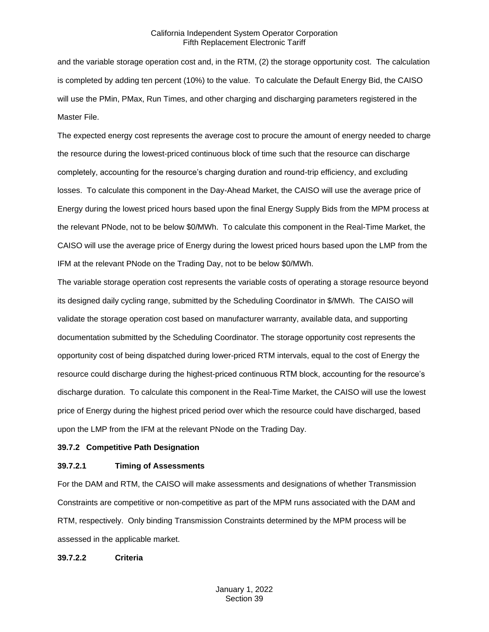and the variable storage operation cost and, in the RTM, (2) the storage opportunity cost. The calculation is completed by adding ten percent (10%) to the value. To calculate the Default Energy Bid, the CAISO will use the PMin, PMax, Run Times, and other charging and discharging parameters registered in the Master File.

The expected energy cost represents the average cost to procure the amount of energy needed to charge the resource during the lowest-priced continuous block of time such that the resource can discharge completely, accounting for the resource's charging duration and round-trip efficiency, and excluding losses. To calculate this component in the Day-Ahead Market, the CAISO will use the average price of Energy during the lowest priced hours based upon the final Energy Supply Bids from the MPM process at the relevant PNode, not to be below \$0/MWh. To calculate this component in the Real-Time Market, the CAISO will use the average price of Energy during the lowest priced hours based upon the LMP from the IFM at the relevant PNode on the Trading Day, not to be below \$0/MWh.

The variable storage operation cost represents the variable costs of operating a storage resource beyond its designed daily cycling range, submitted by the Scheduling Coordinator in \$/MWh. The CAISO will validate the storage operation cost based on manufacturer warranty, available data, and supporting documentation submitted by the Scheduling Coordinator. The storage opportunity cost represents the opportunity cost of being dispatched during lower-priced RTM intervals, equal to the cost of Energy the resource could discharge during the highest-priced continuous RTM block, accounting for the resource's discharge duration. To calculate this component in the Real-Time Market, the CAISO will use the lowest price of Energy during the highest priced period over which the resource could have discharged, based upon the LMP from the IFM at the relevant PNode on the Trading Day.

## <span id="page-19-0"></span>**39.7.2 Competitive Path Designation**

#### **39.7.2.1 Timing of Assessments**

For the DAM and RTM, the CAISO will make assessments and designations of whether Transmission Constraints are competitive or non-competitive as part of the MPM runs associated with the DAM and RTM, respectively. Only binding Transmission Constraints determined by the MPM process will be assessed in the applicable market.

**39.7.2.2 Criteria**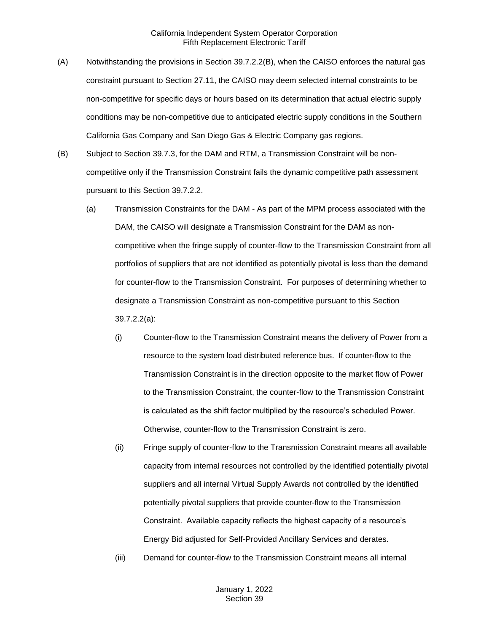- (A) Notwithstanding the provisions in Section 39.7.2.2(B), when the CAISO enforces the natural gas constraint pursuant to Section 27.11, the CAISO may deem selected internal constraints to be non-competitive for specific days or hours based on its determination that actual electric supply conditions may be non-competitive due to anticipated electric supply conditions in the Southern California Gas Company and San Diego Gas & Electric Company gas regions.
- (B) Subject to Section 39.7.3, for the DAM and RTM, a Transmission Constraint will be noncompetitive only if the Transmission Constraint fails the dynamic competitive path assessment pursuant to this Section 39.7.2.2.
	- (a) Transmission Constraints for the DAM As part of the MPM process associated with the DAM, the CAISO will designate a Transmission Constraint for the DAM as noncompetitive when the fringe supply of counter-flow to the Transmission Constraint from all portfolios of suppliers that are not identified as potentially pivotal is less than the demand for counter-flow to the Transmission Constraint. For purposes of determining whether to designate a Transmission Constraint as non-competitive pursuant to this Section 39.7.2.2(a):
		- (i) Counter-flow to the Transmission Constraint means the delivery of Power from a resource to the system load distributed reference bus. If counter-flow to the Transmission Constraint is in the direction opposite to the market flow of Power to the Transmission Constraint, the counter-flow to the Transmission Constraint is calculated as the shift factor multiplied by the resource's scheduled Power. Otherwise, counter-flow to the Transmission Constraint is zero.
		- (ii) Fringe supply of counter-flow to the Transmission Constraint means all available capacity from internal resources not controlled by the identified potentially pivotal suppliers and all internal Virtual Supply Awards not controlled by the identified potentially pivotal suppliers that provide counter-flow to the Transmission Constraint. Available capacity reflects the highest capacity of a resource's Energy Bid adjusted for Self-Provided Ancillary Services and derates.
		- (iii) Demand for counter-flow to the Transmission Constraint means all internal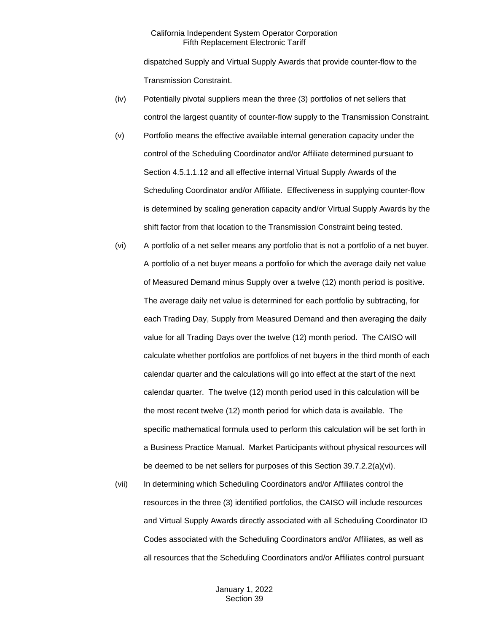dispatched Supply and Virtual Supply Awards that provide counter-flow to the Transmission Constraint.

- (iv) Potentially pivotal suppliers mean the three (3) portfolios of net sellers that control the largest quantity of counter-flow supply to the Transmission Constraint.
- (v) Portfolio means the effective available internal generation capacity under the control of the Scheduling Coordinator and/or Affiliate determined pursuant to Section 4.5.1.1.12 and all effective internal Virtual Supply Awards of the Scheduling Coordinator and/or Affiliate. Effectiveness in supplying counter-flow is determined by scaling generation capacity and/or Virtual Supply Awards by the shift factor from that location to the Transmission Constraint being tested.
- (vi) A portfolio of a net seller means any portfolio that is not a portfolio of a net buyer. A portfolio of a net buyer means a portfolio for which the average daily net value of Measured Demand minus Supply over a twelve (12) month period is positive. The average daily net value is determined for each portfolio by subtracting, for each Trading Day, Supply from Measured Demand and then averaging the daily value for all Trading Days over the twelve (12) month period. The CAISO will calculate whether portfolios are portfolios of net buyers in the third month of each calendar quarter and the calculations will go into effect at the start of the next calendar quarter. The twelve (12) month period used in this calculation will be the most recent twelve (12) month period for which data is available. The specific mathematical formula used to perform this calculation will be set forth in a Business Practice Manual. Market Participants without physical resources will be deemed to be net sellers for purposes of this Section 39.7.2.2(a)(vi).
- (vii) In determining which Scheduling Coordinators and/or Affiliates control the resources in the three (3) identified portfolios, the CAISO will include resources and Virtual Supply Awards directly associated with all Scheduling Coordinator ID Codes associated with the Scheduling Coordinators and/or Affiliates, as well as all resources that the Scheduling Coordinators and/or Affiliates control pursuant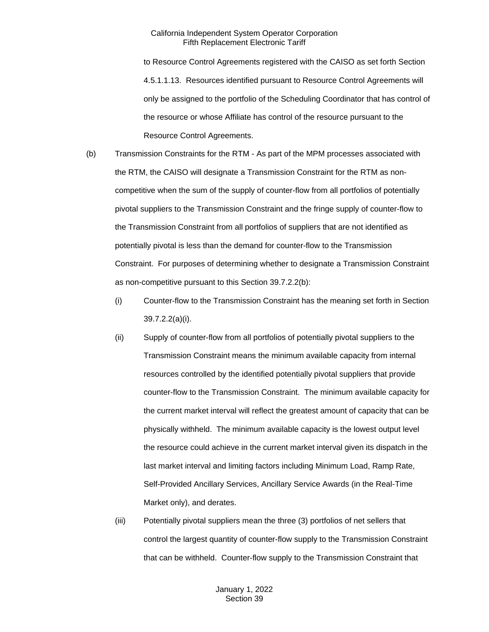to Resource Control Agreements registered with the CAISO as set forth Section 4.5.1.1.13. Resources identified pursuant to Resource Control Agreements will only be assigned to the portfolio of the Scheduling Coordinator that has control of the resource or whose Affiliate has control of the resource pursuant to the Resource Control Agreements.

- (b) Transmission Constraints for the RTM As part of the MPM processes associated with the RTM, the CAISO will designate a Transmission Constraint for the RTM as noncompetitive when the sum of the supply of counter-flow from all portfolios of potentially pivotal suppliers to the Transmission Constraint and the fringe supply of counter-flow to the Transmission Constraint from all portfolios of suppliers that are not identified as potentially pivotal is less than the demand for counter-flow to the Transmission Constraint. For purposes of determining whether to designate a Transmission Constraint as non-competitive pursuant to this Section 39.7.2.2(b):
	- (i) Counter-flow to the Transmission Constraint has the meaning set forth in Section 39.7.2.2(a)(i).
	- (ii) Supply of counter-flow from all portfolios of potentially pivotal suppliers to the Transmission Constraint means the minimum available capacity from internal resources controlled by the identified potentially pivotal suppliers that provide counter-flow to the Transmission Constraint. The minimum available capacity for the current market interval will reflect the greatest amount of capacity that can be physically withheld. The minimum available capacity is the lowest output level the resource could achieve in the current market interval given its dispatch in the last market interval and limiting factors including Minimum Load, Ramp Rate, Self-Provided Ancillary Services, Ancillary Service Awards (in the Real-Time Market only), and derates.
	- (iii) Potentially pivotal suppliers mean the three (3) portfolios of net sellers that control the largest quantity of counter-flow supply to the Transmission Constraint that can be withheld. Counter-flow supply to the Transmission Constraint that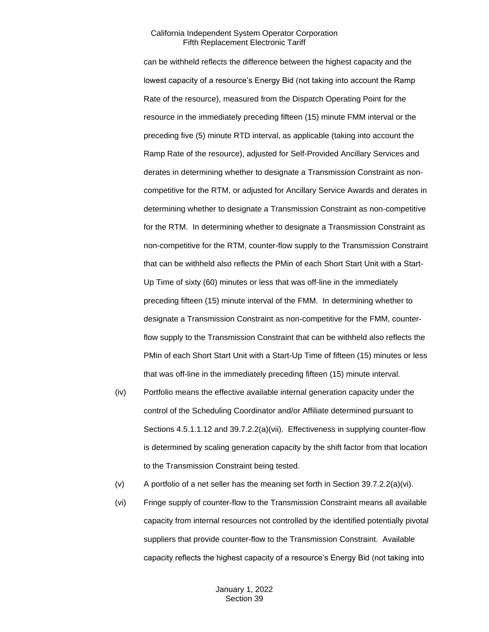can be withheld reflects the difference between the highest capacity and the lowest capacity of a resource's Energy Bid (not taking into account the Ramp Rate of the resource), measured from the Dispatch Operating Point for the resource in the immediately preceding fifteen (15) minute FMM interval or the preceding five (5) minute RTD interval, as applicable (taking into account the Ramp Rate of the resource), adjusted for Self-Provided Ancillary Services and derates in determining whether to designate a Transmission Constraint as noncompetitive for the RTM, or adjusted for Ancillary Service Awards and derates in determining whether to designate a Transmission Constraint as non-competitive for the RTM. In determining whether to designate a Transmission Constraint as non-competitive for the RTM, counter-flow supply to the Transmission Constraint that can be withheld also reflects the PMin of each Short Start Unit with a Start-Up Time of sixty (60) minutes or less that was off-line in the immediately preceding fifteen (15) minute interval of the FMM. In determining whether to designate a Transmission Constraint as non-competitive for the FMM, counterflow supply to the Transmission Constraint that can be withheld also reflects the PMin of each Short Start Unit with a Start-Up Time of fifteen (15) minutes or less that was off-line in the immediately preceding fifteen (15) minute interval.

- (iv) Portfolio means the effective available internal generation capacity under the control of the Scheduling Coordinator and/or Affiliate determined pursuant to Sections 4.5.1.1.12 and 39.7.2.2(a)(vii). Effectiveness in supplying counter-flow is determined by scaling generation capacity by the shift factor from that location to the Transmission Constraint being tested.
- (v) A portfolio of a net seller has the meaning set forth in Section 39.7.2.2(a)(vi).
- (vi) Fringe supply of counter-flow to the Transmission Constraint means all available capacity from internal resources not controlled by the identified potentially pivotal suppliers that provide counter-flow to the Transmission Constraint. Available capacity reflects the highest capacity of a resource's Energy Bid (not taking into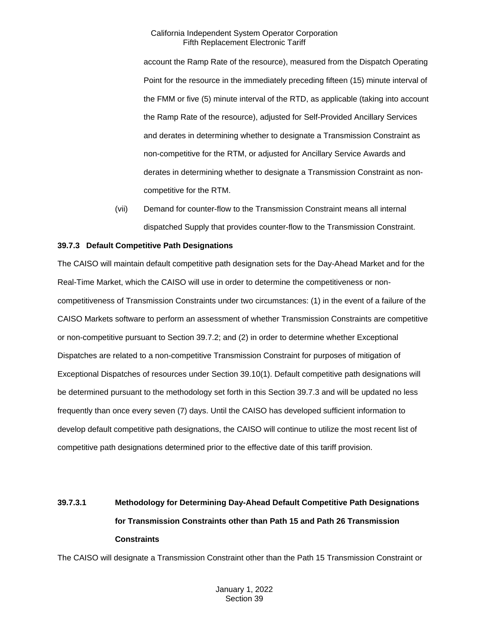account the Ramp Rate of the resource), measured from the Dispatch Operating Point for the resource in the immediately preceding fifteen (15) minute interval of the FMM or five (5) minute interval of the RTD, as applicable (taking into account the Ramp Rate of the resource), adjusted for Self-Provided Ancillary Services and derates in determining whether to designate a Transmission Constraint as non-competitive for the RTM, or adjusted for Ancillary Service Awards and derates in determining whether to designate a Transmission Constraint as noncompetitive for the RTM.

(vii) Demand for counter-flow to the Transmission Constraint means all internal dispatched Supply that provides counter-flow to the Transmission Constraint.

## <span id="page-24-0"></span>**39.7.3 Default Competitive Path Designations**

The CAISO will maintain default competitive path designation sets for the Day-Ahead Market and for the Real-Time Market, which the CAISO will use in order to determine the competitiveness or noncompetitiveness of Transmission Constraints under two circumstances: (1) in the event of a failure of the CAISO Markets software to perform an assessment of whether Transmission Constraints are competitive or non-competitive pursuant to Section 39.7.2; and (2) in order to determine whether Exceptional Dispatches are related to a non-competitive Transmission Constraint for purposes of mitigation of Exceptional Dispatches of resources under Section 39.10(1). Default competitive path designations will be determined pursuant to the methodology set forth in this Section 39.7.3 and will be updated no less frequently than once every seven (7) days. Until the CAISO has developed sufficient information to develop default competitive path designations, the CAISO will continue to utilize the most recent list of competitive path designations determined prior to the effective date of this tariff provision.

# **39.7.3.1 Methodology for Determining Day-Ahead Default Competitive Path Designations for Transmission Constraints other than Path 15 and Path 26 Transmission Constraints**

The CAISO will designate a Transmission Constraint other than the Path 15 Transmission Constraint or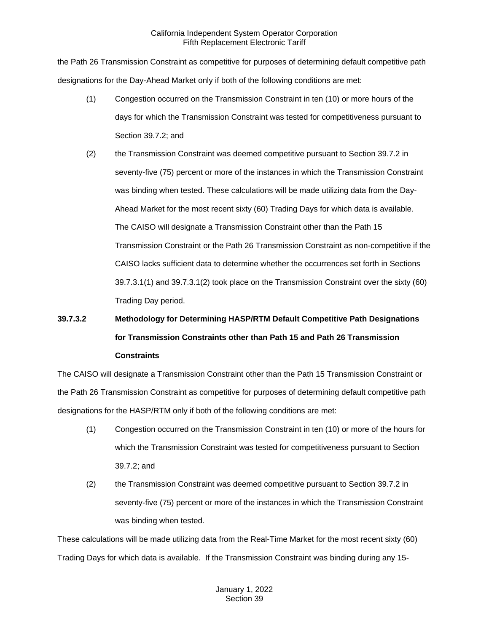the Path 26 Transmission Constraint as competitive for purposes of determining default competitive path designations for the Day-Ahead Market only if both of the following conditions are met:

- (1) Congestion occurred on the Transmission Constraint in ten (10) or more hours of the days for which the Transmission Constraint was tested for competitiveness pursuant to Section 39.7.2; and
- (2) the Transmission Constraint was deemed competitive pursuant to Section 39.7.2 in seventy-five (75) percent or more of the instances in which the Transmission Constraint was binding when tested. These calculations will be made utilizing data from the Day-Ahead Market for the most recent sixty (60) Trading Days for which data is available. The CAISO will designate a Transmission Constraint other than the Path 15 Transmission Constraint or the Path 26 Transmission Constraint as non-competitive if the CAISO lacks sufficient data to determine whether the occurrences set forth in Sections 39.7.3.1(1) and 39.7.3.1(2) took place on the Transmission Constraint over the sixty (60) Trading Day period.

# **39.7.3.2 Methodology for Determining HASP/RTM Default Competitive Path Designations for Transmission Constraints other than Path 15 and Path 26 Transmission Constraints**

The CAISO will designate a Transmission Constraint other than the Path 15 Transmission Constraint or the Path 26 Transmission Constraint as competitive for purposes of determining default competitive path designations for the HASP/RTM only if both of the following conditions are met:

- (1) Congestion occurred on the Transmission Constraint in ten (10) or more of the hours for which the Transmission Constraint was tested for competitiveness pursuant to Section 39.7.2; and
- (2) the Transmission Constraint was deemed competitive pursuant to Section 39.7.2 in seventy-five (75) percent or more of the instances in which the Transmission Constraint was binding when tested.

These calculations will be made utilizing data from the Real-Time Market for the most recent sixty (60) Trading Days for which data is available. If the Transmission Constraint was binding during any 15-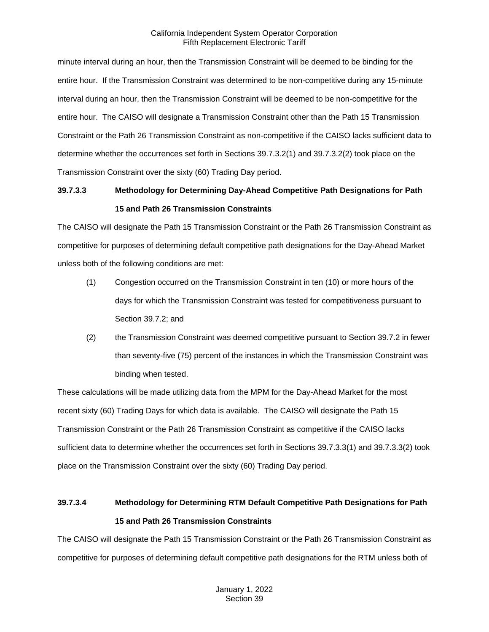minute interval during an hour, then the Transmission Constraint will be deemed to be binding for the entire hour. If the Transmission Constraint was determined to be non-competitive during any 15-minute interval during an hour, then the Transmission Constraint will be deemed to be non-competitive for the entire hour. The CAISO will designate a Transmission Constraint other than the Path 15 Transmission Constraint or the Path 26 Transmission Constraint as non-competitive if the CAISO lacks sufficient data to determine whether the occurrences set forth in Sections 39.7.3.2(1) and 39.7.3.2(2) took place on the Transmission Constraint over the sixty (60) Trading Day period.

# **39.7.3.3 Methodology for Determining Day-Ahead Competitive Path Designations for Path 15 and Path 26 Transmission Constraints**

The CAISO will designate the Path 15 Transmission Constraint or the Path 26 Transmission Constraint as competitive for purposes of determining default competitive path designations for the Day-Ahead Market unless both of the following conditions are met:

- (1) Congestion occurred on the Transmission Constraint in ten (10) or more hours of the days for which the Transmission Constraint was tested for competitiveness pursuant to Section 39.7.2; and
- (2) the Transmission Constraint was deemed competitive pursuant to Section 39.7.2 in fewer than seventy-five (75) percent of the instances in which the Transmission Constraint was binding when tested.

These calculations will be made utilizing data from the MPM for the Day-Ahead Market for the most recent sixty (60) Trading Days for which data is available. The CAISO will designate the Path 15 Transmission Constraint or the Path 26 Transmission Constraint as competitive if the CAISO lacks sufficient data to determine whether the occurrences set forth in Sections 39.7.3.3(1) and 39.7.3.3(2) took place on the Transmission Constraint over the sixty (60) Trading Day period.

# **39.7.3.4 Methodology for Determining RTM Default Competitive Path Designations for Path 15 and Path 26 Transmission Constraints**

The CAISO will designate the Path 15 Transmission Constraint or the Path 26 Transmission Constraint as competitive for purposes of determining default competitive path designations for the RTM unless both of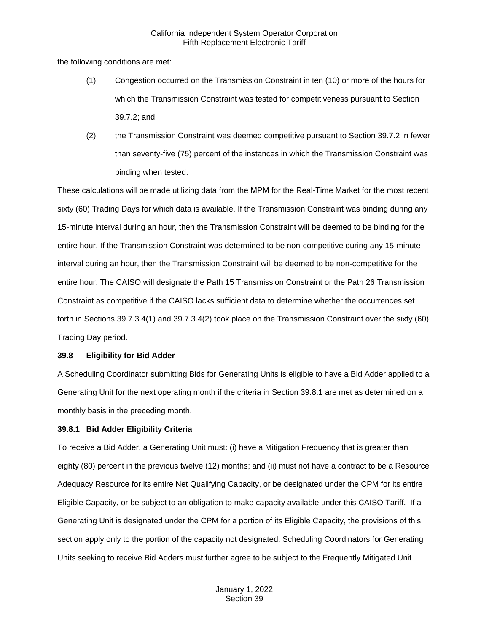the following conditions are met:

- (1) Congestion occurred on the Transmission Constraint in ten (10) or more of the hours for which the Transmission Constraint was tested for competitiveness pursuant to Section 39.7.2; and
- (2) the Transmission Constraint was deemed competitive pursuant to Section 39.7.2 in fewer than seventy-five (75) percent of the instances in which the Transmission Constraint was binding when tested.

These calculations will be made utilizing data from the MPM for the Real-Time Market for the most recent sixty (60) Trading Days for which data is available. If the Transmission Constraint was binding during any 15-minute interval during an hour, then the Transmission Constraint will be deemed to be binding for the entire hour. If the Transmission Constraint was determined to be non-competitive during any 15-minute interval during an hour, then the Transmission Constraint will be deemed to be non-competitive for the entire hour. The CAISO will designate the Path 15 Transmission Constraint or the Path 26 Transmission Constraint as competitive if the CAISO lacks sufficient data to determine whether the occurrences set forth in Sections 39.7.3.4(1) and 39.7.3.4(2) took place on the Transmission Constraint over the sixty (60) Trading Day period.

#### <span id="page-27-0"></span>**39.8 Eligibility for Bid Adder**

A Scheduling Coordinator submitting Bids for Generating Units is eligible to have a Bid Adder applied to a Generating Unit for the next operating month if the criteria in Section 39.8.1 are met as determined on a monthly basis in the preceding month.

## <span id="page-27-1"></span>**39.8.1 Bid Adder Eligibility Criteria**

To receive a Bid Adder, a Generating Unit must: (i) have a Mitigation Frequency that is greater than eighty (80) percent in the previous twelve (12) months; and (ii) must not have a contract to be a Resource Adequacy Resource for its entire Net Qualifying Capacity, or be designated under the CPM for its entire Eligible Capacity, or be subject to an obligation to make capacity available under this CAISO Tariff. If a Generating Unit is designated under the CPM for a portion of its Eligible Capacity, the provisions of this section apply only to the portion of the capacity not designated. Scheduling Coordinators for Generating Units seeking to receive Bid Adders must further agree to be subject to the Frequently Mitigated Unit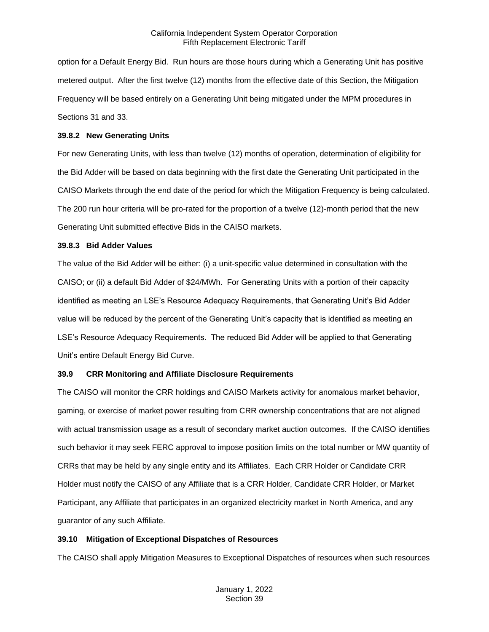option for a Default Energy Bid. Run hours are those hours during which a Generating Unit has positive metered output. After the first twelve (12) months from the effective date of this Section, the Mitigation Frequency will be based entirely on a Generating Unit being mitigated under the MPM procedures in Sections 31 and 33.

#### <span id="page-28-0"></span>**39.8.2 New Generating Units**

For new Generating Units, with less than twelve (12) months of operation, determination of eligibility for the Bid Adder will be based on data beginning with the first date the Generating Unit participated in the CAISO Markets through the end date of the period for which the Mitigation Frequency is being calculated. The 200 run hour criteria will be pro-rated for the proportion of a twelve (12)-month period that the new Generating Unit submitted effective Bids in the CAISO markets.

#### <span id="page-28-1"></span>**39.8.3 Bid Adder Values**

The value of the Bid Adder will be either: (i) a unit-specific value determined in consultation with the CAISO; or (ii) a default Bid Adder of \$24/MWh. For Generating Units with a portion of their capacity identified as meeting an LSE's Resource Adequacy Requirements, that Generating Unit's Bid Adder value will be reduced by the percent of the Generating Unit's capacity that is identified as meeting an LSE's Resource Adequacy Requirements. The reduced Bid Adder will be applied to that Generating Unit's entire Default Energy Bid Curve.

## <span id="page-28-2"></span>**39.9 CRR Monitoring and Affiliate Disclosure Requirements**

The CAISO will monitor the CRR holdings and CAISO Markets activity for anomalous market behavior, gaming, or exercise of market power resulting from CRR ownership concentrations that are not aligned with actual transmission usage as a result of secondary market auction outcomes. If the CAISO identifies such behavior it may seek FERC approval to impose position limits on the total number or MW quantity of CRRs that may be held by any single entity and its Affiliates. Each CRR Holder or Candidate CRR Holder must notify the CAISO of any Affiliate that is a CRR Holder, Candidate CRR Holder, or Market Participant, any Affiliate that participates in an organized electricity market in North America, and any guarantor of any such Affiliate.

## <span id="page-28-3"></span>**39.10 Mitigation of Exceptional Dispatches of Resources**

The CAISO shall apply Mitigation Measures to Exceptional Dispatches of resources when such resources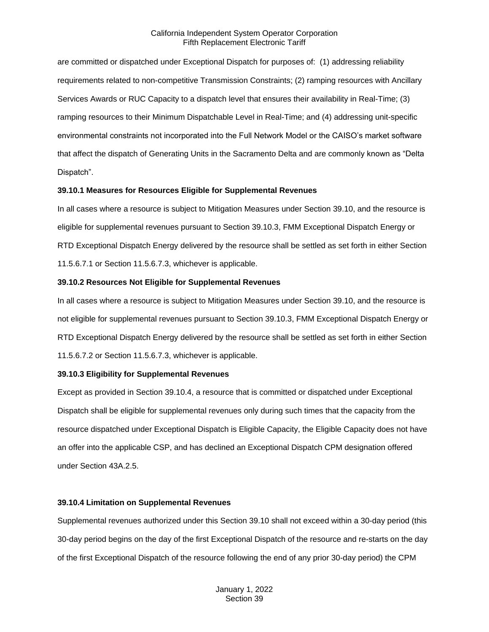are committed or dispatched under Exceptional Dispatch for purposes of: (1) addressing reliability requirements related to non-competitive Transmission Constraints; (2) ramping resources with Ancillary Services Awards or RUC Capacity to a dispatch level that ensures their availability in Real-Time; (3) ramping resources to their Minimum Dispatchable Level in Real-Time; and (4) addressing unit-specific environmental constraints not incorporated into the Full Network Model or the CAISO's market software that affect the dispatch of Generating Units in the Sacramento Delta and are commonly known as "Delta Dispatch".

#### <span id="page-29-0"></span>**39.10.1 Measures for Resources Eligible for Supplemental Revenues**

In all cases where a resource is subject to Mitigation Measures under Section 39.10, and the resource is eligible for supplemental revenues pursuant to Section 39.10.3, FMM Exceptional Dispatch Energy or RTD Exceptional Dispatch Energy delivered by the resource shall be settled as set forth in either Section 11.5.6.7.1 or Section 11.5.6.7.3, whichever is applicable.

#### <span id="page-29-1"></span>**39.10.2 Resources Not Eligible for Supplemental Revenues**

In all cases where a resource is subject to Mitigation Measures under Section 39.10, and the resource is not eligible for supplemental revenues pursuant to Section 39.10.3, FMM Exceptional Dispatch Energy or RTD Exceptional Dispatch Energy delivered by the resource shall be settled as set forth in either Section 11.5.6.7.2 or Section 11.5.6.7.3, whichever is applicable.

## <span id="page-29-2"></span>**39.10.3 Eligibility for Supplemental Revenues**

Except as provided in Section 39.10.4, a resource that is committed or dispatched under Exceptional Dispatch shall be eligible for supplemental revenues only during such times that the capacity from the resource dispatched under Exceptional Dispatch is Eligible Capacity, the Eligible Capacity does not have an offer into the applicable CSP, and has declined an Exceptional Dispatch CPM designation offered under Section 43A.2.5.

#### <span id="page-29-3"></span>**39.10.4 Limitation on Supplemental Revenues**

Supplemental revenues authorized under this Section 39.10 shall not exceed within a 30-day period (this 30-day period begins on the day of the first Exceptional Dispatch of the resource and re-starts on the day of the first Exceptional Dispatch of the resource following the end of any prior 30-day period) the CPM